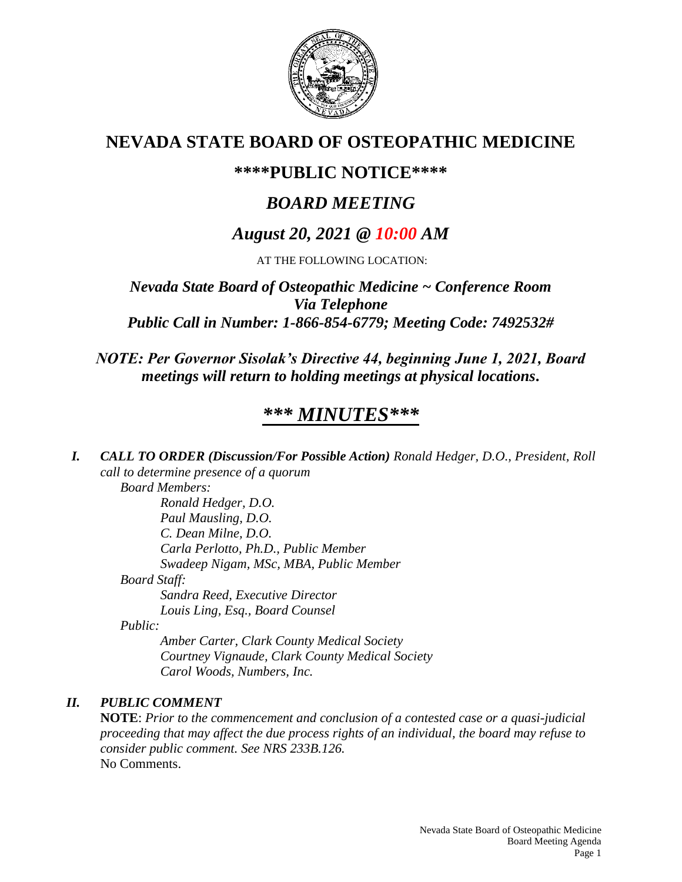

## **NEVADA STATE BOARD OF OSTEOPATHIC MEDICINE**

### **\*\*\*\*PUBLIC NOTICE\*\*\*\***

## *BOARD MEETING*

## *August 20, 2021 @ 10:00 AM*

AT THE FOLLOWING LOCATION:

*Nevada State Board of Osteopathic Medicine ~ Conference Room Via Telephone Public Call in Number: 1-866-854-6779; Meeting Code: 7492532#*

*NOTE: Per Governor Sisolak's Directive 44, beginning June 1, 2021, Board meetings will return to holding meetings at physical locations.*

# *\*\*\* MINUTES\*\*\**

*I. CALL TO ORDER (Discussion/For Possible Action) Ronald Hedger, D.O., President, Roll call to determine presence of a quorum*

*Board Members:*

*Ronald Hedger, D.O. Paul Mausling, D.O. C. Dean Milne, D.O. Carla Perlotto, Ph.D., Public Member Swadeep Nigam, MSc, MBA, Public Member Board Staff: Sandra Reed, Executive Director*

*Louis Ling, Esq., Board Counsel*

*Public:*

*Amber Carter, Clark County Medical Society Courtney Vignaude, Clark County Medical Society Carol Woods, Numbers, Inc.*

### *II. PUBLIC COMMENT*

**NOTE**: *Prior to the commencement and conclusion of a contested case or a quasi-judicial proceeding that may affect the due process rights of an individual, the board may refuse to consider public comment. See NRS 233B.126.* No Comments.